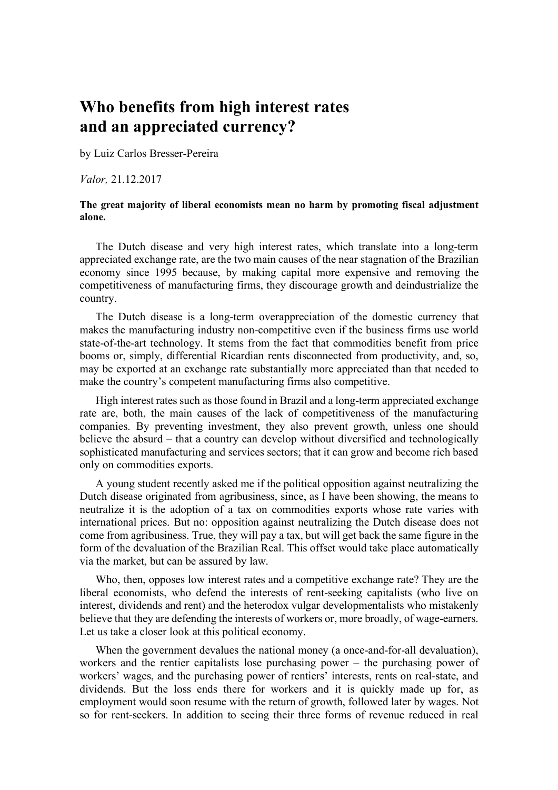## **Who benefits from high interest rates and an appreciated currency?**

by Luiz Carlos Bresser-Pereira

*Valor,* 21.12.2017

## **The great majority of liberal economists mean no harm by promoting fiscal adjustment alone.**

The Dutch disease and very high interest rates, which translate into a long-term appreciated exchange rate, are the two main causes of the near stagnation of the Brazilian economy since 1995 because, by making capital more expensive and removing the competitiveness of manufacturing firms, they discourage growth and deindustrialize the country.

The Dutch disease is a long-term overappreciation of the domestic currency that makes the manufacturing industry non-competitive even if the business firms use world state-of-the-art technology. It stems from the fact that commodities benefit from price booms or, simply, differential Ricardian rents disconnected from productivity, and, so, may be exported at an exchange rate substantially more appreciated than that needed to make the country's competent manufacturing firms also competitive.

High interest rates such as those found in Brazil and a long-term appreciated exchange rate are, both, the main causes of the lack of competitiveness of the manufacturing companies. By preventing investment, they also prevent growth, unless one should believe the absurd – that a country can develop without diversified and technologically sophisticated manufacturing and services sectors; that it can grow and become rich based only on commodities exports.

A young student recently asked me if the political opposition against neutralizing the Dutch disease originated from agribusiness, since, as I have been showing, the means to neutralize it is the adoption of a tax on commodities exports whose rate varies with international prices. But no: opposition against neutralizing the Dutch disease does not come from agribusiness. True, they will pay a tax, but will get back the same figure in the form of the devaluation of the Brazilian Real. This offset would take place automatically via the market, but can be assured by law.

Who, then, opposes low interest rates and a competitive exchange rate? They are the liberal economists, who defend the interests of rent-seeking capitalists (who live on interest, dividends and rent) and the heterodox vulgar developmentalists who mistakenly believe that they are defending the interests of workers or, more broadly, of wage-earners. Let us take a closer look at this political economy.

When the government devalues the national money (a once-and-for-all devaluation), workers and the rentier capitalists lose purchasing power – the purchasing power of workers' wages, and the purchasing power of rentiers' interests, rents on real-state, and dividends. But the loss ends there for workers and it is quickly made up for, as employment would soon resume with the return of growth, followed later by wages. Not so for rent-seekers. In addition to seeing their three forms of revenue reduced in real